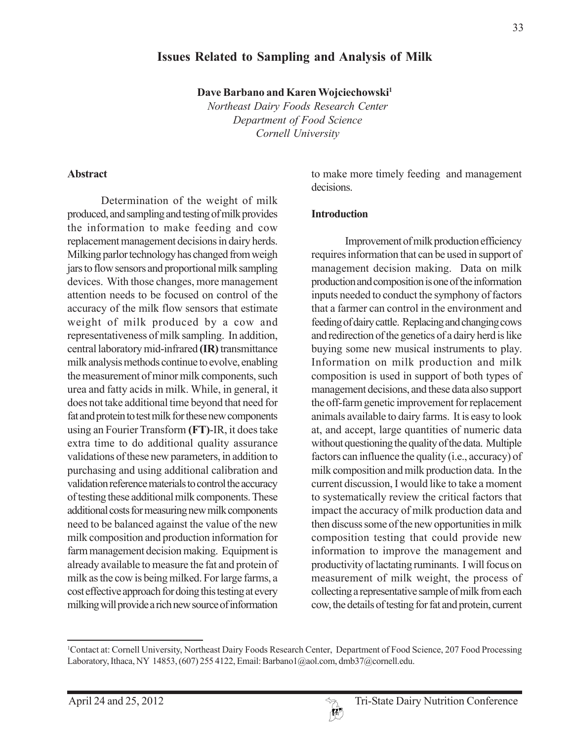## **Issues Related to Sampling and Analysis of Milk**

**Dave Barbano and Karen Wojciechowski1** *Northeast Dairy Foods Research Center Department of Food Science Cornell University*

#### **Abstract**

Determination of the weight of milk produced, and sampling and testing of milk provides the information to make feeding and cow replacement management decisions in dairy herds. Milking parlor technology has changed from weigh jars to flow sensors and proportional milk sampling devices. With those changes, more management attention needs to be focused on control of the accuracy of the milk flow sensors that estimate weight of milk produced by a cow and representativeness of milk sampling. In addition, central laboratory mid-infrared **(IR)** transmittance milk analysis methods continue to evolve, enabling the measurement of minor milk components, such urea and fatty acids in milk. While, in general, it does not take additional time beyond that need for fat and protein to test milk for these new components using an Fourier Transform **(FT)**-IR, it does take extra time to do additional quality assurance validations of these new parameters, in addition to purchasing and using additional calibration and validation reference materials to control the accuracy of testing these additional milk components. These additional costs for measuring new milk components need to be balanced against the value of the new milk composition and production information for farm management decision making. Equipment is already available to measure the fat and protein of milk as the cow is being milked. For large farms, a cost effective approach for doing this testing at every milking will provide a rich new source of information to make more timely feeding and management decisions.

#### **Introduction**

Improvement of milk production efficiency requires information that can be used in support of management decision making. Data on milk production and composition is one of the information inputs needed to conduct the symphony of factors that a farmer can control in the environment and feeding of dairy cattle. Replacing and changing cows and redirection of the genetics of a dairy herd is like buying some new musical instruments to play. Information on milk production and milk composition is used in support of both types of management decisions, and these data also support the off-farm genetic improvement for replacement animals available to dairy farms. It is easy to look at, and accept, large quantities of numeric data without questioning the quality of the data. Multiple factors can influence the quality (i.e., accuracy) of milk composition and milk production data. In the current discussion, I would like to take a moment to systematically review the critical factors that impact the accuracy of milk production data and then discuss some of the new opportunities in milk composition testing that could provide new information to improve the management and productivity of lactating ruminants. I will focus on measurement of milk weight, the process of collecting a representative sample of milk from each cow, the details of testing for fat and protein, current



<sup>1</sup> Contact at: Cornell University, Northeast Dairy Foods Research Center, Department of Food Science, 207 Food Processing Laboratory, Ithaca, NY 14853, (607) 255 4122, Email: Barbano1@aol.com, dmb37@cornell.edu.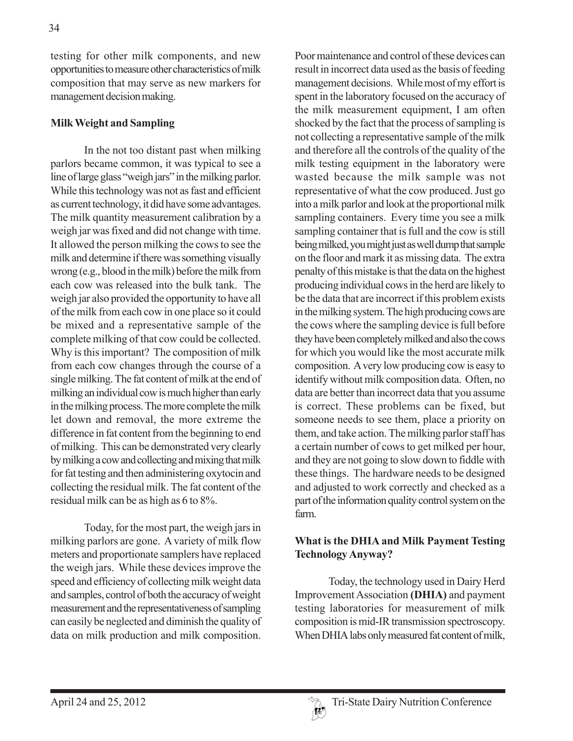testing for other milk components, and new opportunities to measure other characteristics of milk composition that may serve as new markers for management decision making.

## **Milk Weight and Sampling**

In the not too distant past when milking parlors became common, it was typical to see a line of large glass "weigh jars" in the milking parlor. While this technology was not as fast and efficient as current technology, it did have some advantages. The milk quantity measurement calibration by a weigh jar was fixed and did not change with time. It allowed the person milking the cows to see the milk and determine if there was something visually wrong (e.g., blood in the milk) before the milk from each cow was released into the bulk tank. The weigh jar also provided the opportunity to have all of the milk from each cow in one place so it could be mixed and a representative sample of the complete milking of that cow could be collected. Why is this important? The composition of milk from each cow changes through the course of a single milking. The fat content of milk at the end of milking an individual cow is much higher than early in the milking process. The more complete the milk let down and removal, the more extreme the difference in fat content from the beginning to end of milking. This can be demonstrated very clearly by milking a cow and collecting and mixing that milk for fat testing and then administering oxytocin and collecting the residual milk. The fat content of the residual milk can be as high as 6 to 8%.

Today, for the most part, the weigh jars in milking parlors are gone. A variety of milk flow meters and proportionate samplers have replaced the weigh jars. While these devices improve the speed and efficiency of collecting milk weight data and samples, control of both the accuracy of weight measurement and the representativeness of sampling can easily be neglected and diminish the quality of data on milk production and milk composition.

Poor maintenance and control of these devices can result in incorrect data used as the basis of feeding management decisions. While most of my effort is spent in the laboratory focused on the accuracy of the milk measurement equipment, I am often shocked by the fact that the process of sampling is not collecting a representative sample of the milk and therefore all the controls of the quality of the milk testing equipment in the laboratory were wasted because the milk sample was not representative of what the cow produced. Just go into a milk parlor and look at the proportional milk sampling containers. Every time you see a milk sampling container that is full and the cow is still being milked, you might just as well dump that sample on the floor and mark it as missing data. The extra penalty of this mistake is that the data on the highest producing individual cows in the herd are likely to be the data that are incorrect if this problem exists in the milking system. The high producing cows are the cows where the sampling device is full before they have been completely milked and also the cows for which you would like the most accurate milk composition. A very low producing cow is easy to identify without milk composition data. Often, no data are better than incorrect data that you assume is correct. These problems can be fixed, but someone needs to see them, place a priority on them, and take action. The milking parlor staff has a certain number of cows to get milked per hour, and they are not going to slow down to fiddle with these things. The hardware needs to be designed and adjusted to work correctly and checked as a part of the information quality control system on the farm.

#### **What is the DHIA and Milk Payment Testing Technology Anyway?**

Today, the technology used in Dairy Herd Improvement Association **(DHIA)** and payment testing laboratories for measurement of milk composition is mid-IR transmission spectroscopy. When DHIA labs only measured fat content of milk,

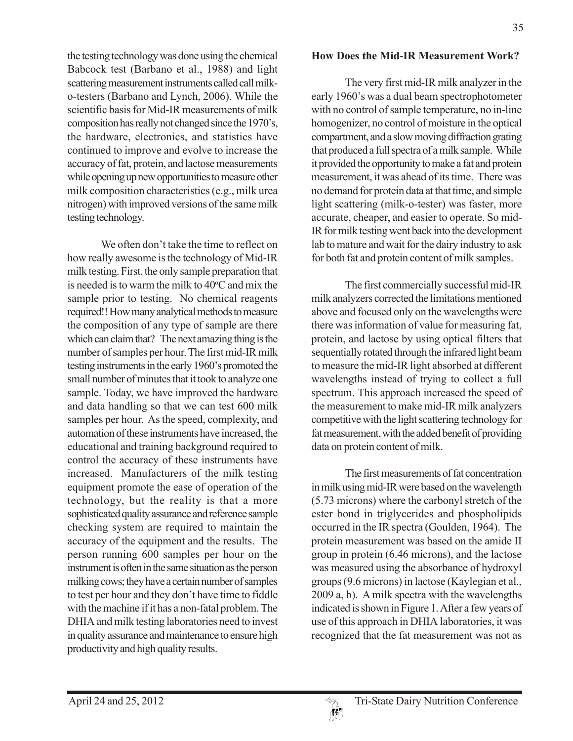the testing technology was done using the chemical Babcock test (Barbano et al., 1988) and light scattering measurement instruments called call milko-testers (Barbano and Lynch, 2006). While the scientific basis for Mid-IR measurements of milk composition has really not changed since the 1970's, the hardware, electronics, and statistics have continued to improve and evolve to increase the accuracy of fat, protein, and lactose measurements while opening up new opportunities to measure other milk composition characteristics (e.g., milk urea nitrogen) with improved versions of the same milk testing technology.

We often don't take the time to reflect on how really awesome is the technology of Mid-IR milk testing. First, the only sample preparation that is needed is to warm the milk to  $40^{\circ}$ C and mix the sample prior to testing. No chemical reagents required!! How many analytical methods to measure the composition of any type of sample are there which can claim that? The next amazing thing is the number of samples per hour. The first mid-IR milk testing instruments in the early 1960's promoted the small number of minutes that it took to analyze one sample. Today, we have improved the hardware and data handling so that we can test 600 milk samples per hour. As the speed, complexity, and automation of these instruments have increased, the educational and training background required to control the accuracy of these instruments have increased. Manufacturers of the milk testing equipment promote the ease of operation of the technology, but the reality is that a more sophisticated quality assurance and reference sample checking system are required to maintain the accuracy of the equipment and the results. The person running 600 samples per hour on the instrument is often in the same situation as the person milking cows; they have a certain number of samples to test per hour and they don't have time to fiddle with the machine if it has a non-fatal problem. The DHIA and milk testing laboratories need to invest in quality assurance and maintenance to ensure high productivity and high quality results.

#### **How Does the Mid-IR Measurement Work?**

The very first mid-IR milk analyzer in the early 1960's was a dual beam spectrophotometer with no control of sample temperature, no in-line homogenizer, no control of moisture in the optical compartment, and a slow moving diffraction grating that produced a full spectra of a milk sample. While it provided the opportunity to make a fat and protein measurement, it was ahead of its time. There was no demand for protein data at that time, and simple light scattering (milk-o-tester) was faster, more accurate, cheaper, and easier to operate. So mid-IR for milk testing went back into the development lab to mature and wait for the dairy industry to ask for both fat and protein content of milk samples.

The first commercially successful mid-IR milk analyzers corrected the limitations mentioned above and focused only on the wavelengths were there was information of value for measuring fat, protein, and lactose by using optical filters that sequentially rotated through the infrared light beam to measure the mid-IR light absorbed at different wavelengths instead of trying to collect a full spectrum. This approach increased the speed of the measurement to make mid-IR milk analyzers competitive with the light scattering technology for fat measurement, with the added benefit of providing data on protein content of milk.

The first measurements of fat concentration in milk using mid-IR were based on the wavelength (5.73 microns) where the carbonyl stretch of the ester bond in triglycerides and phospholipids occurred in the IR spectra (Goulden, 1964). The protein measurement was based on the amide II group in protein (6.46 microns), and the lactose was measured using the absorbance of hydroxyl groups (9.6 microns) in lactose (Kaylegian et al., 2009 a, b). A milk spectra with the wavelengths indicated is shown in Figure 1. After a few years of use of this approach in DHIA laboratories, it was recognized that the fat measurement was not as

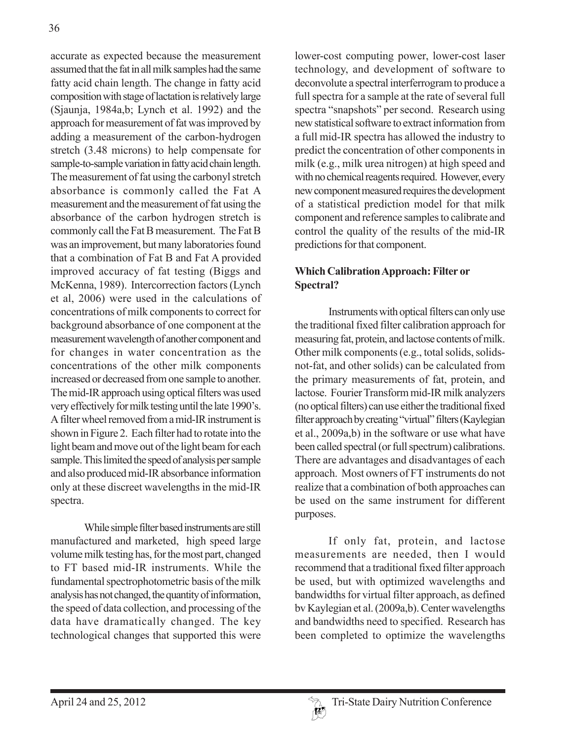accurate as expected because the measurement assumed that the fat in all milk samples had the same fatty acid chain length. The change in fatty acid composition with stage of lactation is relatively large (Sjaunja, 1984a,b; Lynch et al. 1992) and the approach for measurement of fat was improved by adding a measurement of the carbon-hydrogen stretch (3.48 microns) to help compensate for sample-to-sample variation in fatty acid chain length. The measurement of fat using the carbonyl stretch absorbance is commonly called the Fat A measurement and the measurement of fat using the absorbance of the carbon hydrogen stretch is commonly call the Fat B measurement. The Fat B was an improvement, but many laboratories found that a combination of Fat B and Fat A provided improved accuracy of fat testing (Biggs and McKenna, 1989). Intercorrection factors (Lynch et al, 2006) were used in the calculations of concentrations of milk components to correct for background absorbance of one component at the measurement wavelength of another component and for changes in water concentration as the concentrations of the other milk components increased or decreased from one sample to another. The mid-IR approach using optical filters was used very effectively for milk testing until the late 1990's. A filter wheel removed from a mid-IR instrument is shown in Figure 2. Each filter had to rotate into the light beam and move out of the light beam for each sample. This limited the speed of analysis per sample and also produced mid-IR absorbance information only at these discreet wavelengths in the mid-IR spectra.

While simple filter based instruments are still manufactured and marketed, high speed large volume milk testing has, for the most part, changed to FT based mid-IR instruments. While the fundamental spectrophotometric basis of the milk analysis has not changed, the quantity of information, the speed of data collection, and processing of the data have dramatically changed. The key technological changes that supported this were lower-cost computing power, lower-cost laser technology, and development of software to deconvolute a spectral interferrogram to produce a full spectra for a sample at the rate of several full spectra "snapshots" per second. Research using new statistical software to extract information from a full mid-IR spectra has allowed the industry to predict the concentration of other components in milk (e.g., milk urea nitrogen) at high speed and with no chemical reagents required. However, every new component measured requires the development of a statistical prediction model for that milk component and reference samples to calibrate and control the quality of the results of the mid-IR predictions for that component.

# **Which Calibration Approach: Filter or Spectral?**

Instruments with optical filters can only use the traditional fixed filter calibration approach for measuring fat, protein, and lactose contents of milk. Other milk components (e.g., total solids, solidsnot-fat, and other solids) can be calculated from the primary measurements of fat, protein, and lactose. Fourier Transform mid-IR milk analyzers (no optical filters) can use either the traditional fixed filter approach by creating "virtual" filters (Kaylegian et al., 2009a,b) in the software or use what have been called spectral (or full spectrum) calibrations. There are advantages and disadvantages of each approach. Most owners of FT instruments do not realize that a combination of both approaches can be used on the same instrument for different purposes.

If only fat, protein, and lactose measurements are needed, then I would recommend that a traditional fixed filter approach be used, but with optimized wavelengths and bandwidths for virtual filter approach, as defined bv Kaylegian et al. (2009a,b). Center wavelengths and bandwidths need to specified. Research has been completed to optimize the wavelengths

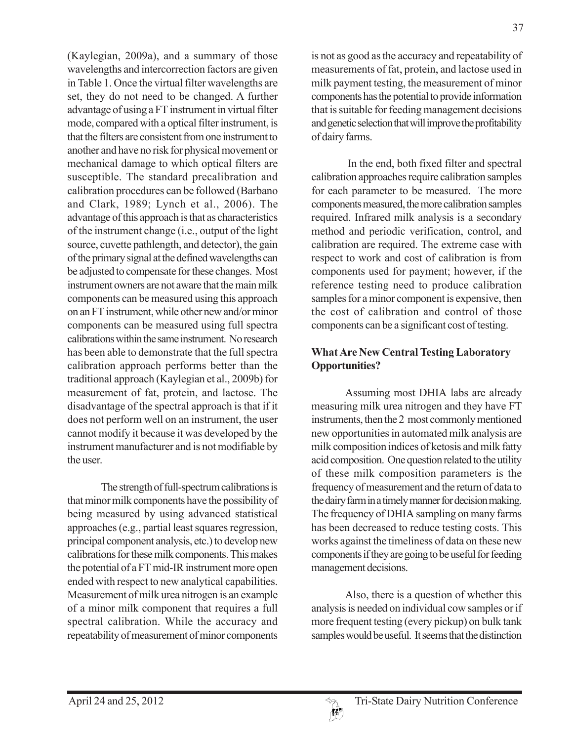(Kaylegian, 2009a), and a summary of those wavelengths and intercorrection factors are given in Table 1. Once the virtual filter wavelengths are set, they do not need to be changed. A further advantage of using a FT instrument in virtual filter mode, compared with a optical filter instrument, is that the filters are consistent from one instrument to another and have no risk for physical movement or mechanical damage to which optical filters are susceptible. The standard precalibration and calibration procedures can be followed (Barbano and Clark, 1989; Lynch et al., 2006). The advantage of this approach is that as characteristics of the instrument change (i.e., output of the light source, cuvette pathlength, and detector), the gain of the primary signal at the defined wavelengths can be adjusted to compensate for these changes. Most instrument owners are not aware that the main milk components can be measured using this approach on an FT instrument, while other new and/or minor components can be measured using full spectra calibrations within the same instrument. No research has been able to demonstrate that the full spectra calibration approach performs better than the traditional approach (Kaylegian et al., 2009b) for measurement of fat, protein, and lactose. The disadvantage of the spectral approach is that if it does not perform well on an instrument, the user cannot modify it because it was developed by the instrument manufacturer and is not modifiable by the user.

The strength of full-spectrum calibrations is that minor milk components have the possibility of being measured by using advanced statistical approaches (e.g., partial least squares regression, principal component analysis, etc.) to develop new calibrations for these milk components. This makes the potential of a FT mid-IR instrument more open ended with respect to new analytical capabilities. Measurement of milk urea nitrogen is an example of a minor milk component that requires a full spectral calibration. While the accuracy and repeatability of measurement of minor components

is not as good as the accuracy and repeatability of measurements of fat, protein, and lactose used in milk payment testing, the measurement of minor components has the potential to provide information that is suitable for feeding management decisions and genetic selection that will improve the profitability of dairy farms.

 In the end, both fixed filter and spectral calibration approaches require calibration samples for each parameter to be measured. The more components measured, the more calibration samples required. Infrared milk analysis is a secondary method and periodic verification, control, and calibration are required. The extreme case with respect to work and cost of calibration is from components used for payment; however, if the reference testing need to produce calibration samples for a minor component is expensive, then the cost of calibration and control of those components can be a significant cost of testing.

# **What Are New Central Testing Laboratory Opportunities?**

Assuming most DHIA labs are already measuring milk urea nitrogen and they have FT instruments, then the 2 most commonly mentioned new opportunities in automated milk analysis are milk composition indices of ketosis and milk fatty acid composition. One question related to the utility of these milk composition parameters is the frequency of measurement and the return of data to the dairy farm in a timely manner for decision making. The frequency of DHIA sampling on many farms has been decreased to reduce testing costs. This works against the timeliness of data on these new components if they are going to be useful for feeding management decisions.

Also, there is a question of whether this analysis is needed on individual cow samples or if more frequent testing (every pickup) on bulk tank samples would be useful. It seems that the distinction

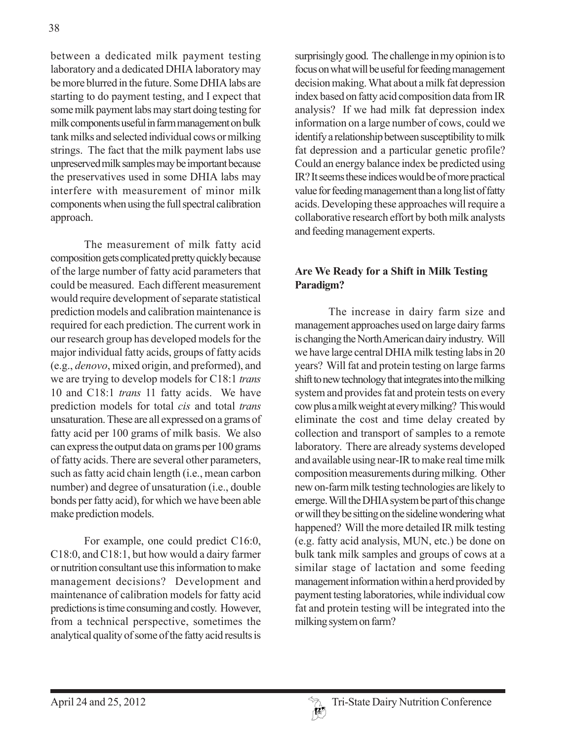between a dedicated milk payment testing laboratory and a dedicated DHIA laboratory may be more blurred in the future. Some DHIA labs are starting to do payment testing, and I expect that some milk payment labs may start doing testing for milk components useful in farm management on bulk tank milks and selected individual cows or milking strings. The fact that the milk payment labs use unpreserved milk samples may be important because the preservatives used in some DHIA labs may interfere with measurement of minor milk components when using the full spectral calibration approach.

The measurement of milk fatty acid composition gets complicated pretty quickly because of the large number of fatty acid parameters that could be measured. Each different measurement would require development of separate statistical prediction models and calibration maintenance is required for each prediction. The current work in our research group has developed models for the major individual fatty acids, groups of fatty acids (e.g., *denovo*, mixed origin, and preformed), and we are trying to develop models for C18:1 *trans* 10 and C18:1 *trans* 11 fatty acids. We have prediction models for total *cis* and total *trans* unsaturation. These are all expressed on a grams of fatty acid per 100 grams of milk basis. We also can express the output data on grams per 100 grams of fatty acids. There are several other parameters, such as fatty acid chain length (i.e., mean carbon number) and degree of unsaturation (i.e., double bonds per fatty acid), for which we have been able make prediction models.

For example, one could predict C16:0, C18:0, and C18:1, but how would a dairy farmer or nutrition consultant use this information to make management decisions? Development and maintenance of calibration models for fatty acid predictions is time consuming and costly. However, from a technical perspective, sometimes the analytical quality of some of the fatty acid results is surprisingly good. The challenge in my opinion is to focus on what will be useful for feeding management decision making. What about a milk fat depression index based on fatty acid composition data from IR analysis? If we had milk fat depression index information on a large number of cows, could we identify a relationship between susceptibility to milk fat depression and a particular genetic profile? Could an energy balance index be predicted using IR? It seems these indices would be of more practical value for feeding management than a long list of fatty acids. Developing these approaches will require a collaborative research effort by both milk analysts and feeding management experts.

# **Are We Ready for a Shift in Milk Testing Paradigm?**

The increase in dairy farm size and management approaches used on large dairy farms is changing the North American dairy industry. Will we have large central DHIA milk testing labs in 20 years? Will fat and protein testing on large farms shift to new technology that integrates into the milking system and provides fat and protein tests on every cow plus a milk weight at every milking? This would eliminate the cost and time delay created by collection and transport of samples to a remote laboratory. There are already systems developed and available using near-IR to make real time milk composition measurements during milking. Other new on-farm milk testing technologies are likely to emerge. Will the DHIA system be part of this change or will they be sitting on the sideline wondering what happened? Will the more detailed IR milk testing (e.g. fatty acid analysis, MUN, etc.) be done on bulk tank milk samples and groups of cows at a similar stage of lactation and some feeding management information within a herd provided by payment testing laboratories, while individual cow fat and protein testing will be integrated into the milking system on farm?

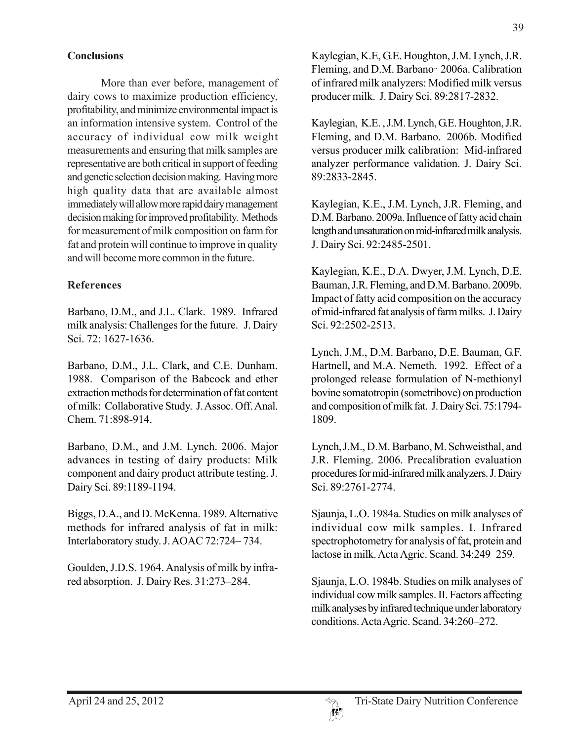# **Conclusions**

More than ever before, management of dairy cows to maximize production efficiency, profitability, and minimize environmental impact is an information intensive system. Control of the accuracy of individual cow milk weight measurements and ensuring that milk samples are representative are both critical in support of feeding and genetic selection decision making. Having more high quality data that are available almost immediately will allow more rapid dairy management decision making for improved profitability. Methods for measurement of milk composition on farm for fat and protein will continue to improve in quality and will become more common in the future.

#### **References**

Barbano, D.M., and J.L. Clark. 1989. Infrared milk analysis: Challenges for the future. J. Dairy Sci. 72: 1627-1636.

Barbano, D.M., J.L. Clark, and C.E. Dunham. 1988. Comparison of the Babcock and ether extraction methods for determination of fat content of milk: Collaborative Study. J. Assoc. Off. Anal. Chem. 71:898-914.

Barbano, D.M., and J.M. Lynch. 2006. Major advances in testing of dairy products: Milk component and dairy product attribute testing. J. Dairy Sci. 89:1189-1194.

Biggs, D.A., and D. McKenna. 1989. Alternative methods for infrared analysis of fat in milk: Interlaboratory study. J. AOAC 72:724– 734.

Goulden, J.D.S. 1964. Analysis of milk by infrared absorption. J. Dairy Res. 31:273–284.

Kaylegian, K.E, G.E. Houghton, J.M. Lynch, J.R. Fleming, and D.M. Barbano<sup>..</sup> 2006a. Calibration of infrared milk analyzers: Modified milk versus producer milk. J. Dairy Sci. 89:2817-2832.

Kaylegian, K.E. , J.M. Lynch, G.E. Houghton, J.R. Fleming, and D.M. Barbano. 2006b. Modified versus producer milk calibration: Mid-infrared analyzer performance validation. J. Dairy Sci. 89:2833-2845.

Kaylegian, K.E., J.M. Lynch, J.R. Fleming, and D.M. Barbano. 2009a. Influence of fatty acid chain length and unsaturation on mid-infrared milk analysis. J. Dairy Sci. 92:2485-2501.

Kaylegian, K.E., D.A. Dwyer, J.M. Lynch, D.E. Bauman, J.R. Fleming, and D.M. Barbano. 2009b. Impact of fatty acid composition on the accuracy of mid-infrared fat analysis of farm milks. J. Dairy Sci. 92:2502-2513.

Lynch, J.M., D.M. Barbano, D.E. Bauman, G.F. Hartnell, and M.A. Nemeth. 1992. Effect of a prolonged release formulation of N-methionyl bovine somatotropin (sometribove) on production and composition of milk fat. J. Dairy Sci. 75:1794- 1809.

Lynch,J.M., D.M. Barbano, M. Schweisthal, and J.R. Fleming. 2006. Precalibration evaluation procedures for mid-infrared milk analyzers. J. Dairy Sci. 89:2761-2774.

Sjaunja, L.O. 1984a. Studies on milk analyses of individual cow milk samples. I. Infrared spectrophotometry for analysis of fat, protein and lactose in milk. Acta Agric. Scand. 34:249–259.

Sjaunja, L.O. 1984b. Studies on milk analyses of individual cow milk samples. II. Factors affecting milk analyses by infrared technique under laboratory conditions. Acta Agric. Scand. 34:260–272.

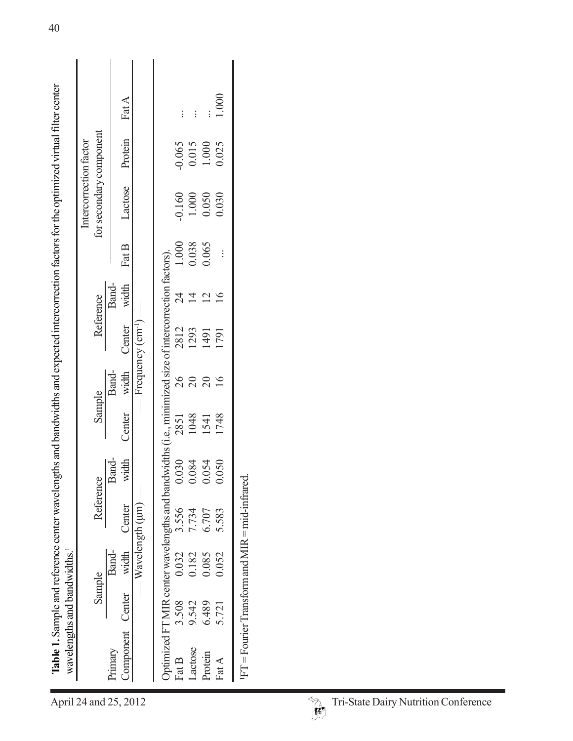| Table 1. Sample and reference center wavelengths and bandwidths and expected intercorrection factors for the optimized virtual filter center<br>wavelengths and bandwidths. |                                                   | Fat A                |                               |                                                                                                      | $\vdots$       | $\vdots$                                               |                 | $1.000\,$ |                                                                        |
|-----------------------------------------------------------------------------------------------------------------------------------------------------------------------------|---------------------------------------------------|----------------------|-------------------------------|------------------------------------------------------------------------------------------------------|----------------|--------------------------------------------------------|-----------------|-----------|------------------------------------------------------------------------|
|                                                                                                                                                                             |                                                   | Protein              |                               |                                                                                                      | $-0.065$       | 0.015                                                  | 1.000           | 0.025     |                                                                        |
|                                                                                                                                                                             | for secondary component<br>Intercorrection factor | Lactose              |                               |                                                                                                      | $-0.160$       | 1.000                                                  | 0.050           | 0.030     |                                                                        |
|                                                                                                                                                                             |                                                   | Fat B                |                               |                                                                                                      | 1.000          | 0.038                                                  | 0.065           | $\vdots$  |                                                                        |
|                                                                                                                                                                             | Reference                                         | Band-<br>width       |                               |                                                                                                      | $\overline{c}$ | $\overline{1}$                                         | $\frac{12}{16}$ |           |                                                                        |
|                                                                                                                                                                             |                                                   | Center               | Frequency (cm <sup>-1</sup> ) |                                                                                                      | 2812           | 1293                                                   | 1491            | 1791      |                                                                        |
|                                                                                                                                                                             |                                                   | Band-<br>width       |                               |                                                                                                      | 26             | $\overline{c}$                                         | $20$<br>16      |           |                                                                        |
|                                                                                                                                                                             | Sample                                            | Center               |                               |                                                                                                      | 2851           | 1048                                                   | 1748<br>1541    |           |                                                                        |
|                                                                                                                                                                             |                                                   | Band-<br>width       |                               |                                                                                                      | 0.030          | $\begin{array}{c} 0.084 \\ 0.054 \\ 0.054 \end{array}$ |                 |           |                                                                        |
|                                                                                                                                                                             | Reference                                         | Center               |                               |                                                                                                      |                | 3.556<br>7.734<br>6.707                                |                 | 5.583     |                                                                        |
|                                                                                                                                                                             |                                                   | Band-<br>width       | Wavelength (um)               |                                                                                                      | 0.032          | 0.182                                                  | 0.085           | 0.052     |                                                                        |
|                                                                                                                                                                             | Sample                                            | Center               |                               |                                                                                                      | 3.508          | 9.542                                                  | 6.489           | 5.721     |                                                                        |
|                                                                                                                                                                             |                                                   | Component<br>Primary |                               | Optimized FT MIR center wavelengths and bandwidths (i.e., minimized size of intercorrection factors) | Fat B          | Lactose                                                | Protein         | Fat A     | $FT =$ Fourier Transform and MIR = mid-infrared                        |
|                                                                                                                                                                             | April 24 and 25, 2012                             |                      |                               |                                                                                                      |                |                                                        |                 |           | $\widetilde{\gamma}_{\lambda}$<br>Tri-State Dairy Nutrition Conference |